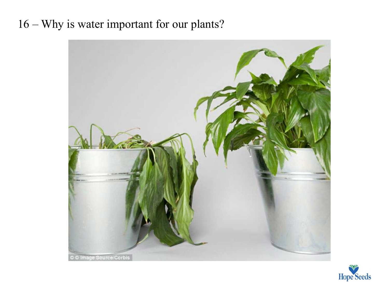## 16 – Why is water important for our plants?



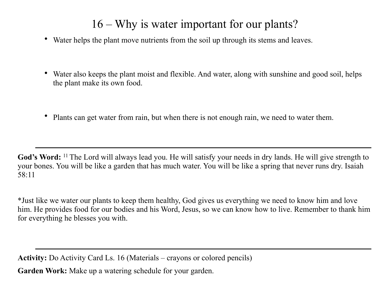## 16 – Why is water important for our plants?

- Water helps the plant move nutrients from the soil up through its stems and leaves.
- Water also keeps the plant moist and flexible. And water, along with sunshine and good soil, helps the plant make its own food.
- Plants can get water from rain, but when there is not enough rain, we need to water them.

God's Word: <sup>11</sup> The Lord will always lead you. He will satisfy your needs in dry lands. He will give strength to your bones. You will be like a garden that has much water. You will be like a spring that never runs dry. Isaiah 58:11

\*Just like we water our plants to keep them healthy, God gives us everything we need to know him and love him. He provides food for our bodies and his Word, Jesus, so we can know how to live. Remember to thank him for everything he blesses you with.

**Activity:** Do Activity Card Ls. 16 (Materials – crayons or colored pencils) **Garden Work:** Make up a watering schedule for your garden.